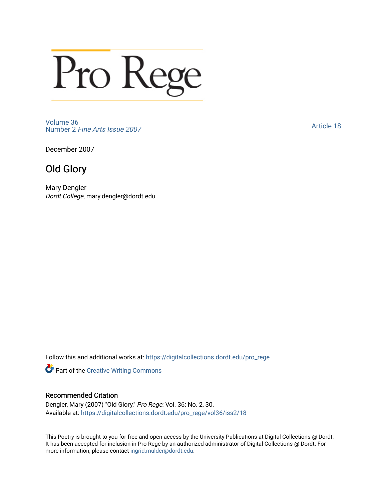## Pro Rege

[Volume 36](https://digitalcollections.dordt.edu/pro_rege/vol36) Number 2 [Fine Arts Issue 2007](https://digitalcollections.dordt.edu/pro_rege/vol36/iss2) 

[Article 18](https://digitalcollections.dordt.edu/pro_rege/vol36/iss2/18) 

December 2007

## Old Glory

Mary Dengler Dordt College, mary.dengler@dordt.edu

Follow this and additional works at: [https://digitalcollections.dordt.edu/pro\\_rege](https://digitalcollections.dordt.edu/pro_rege?utm_source=digitalcollections.dordt.edu%2Fpro_rege%2Fvol36%2Fiss2%2F18&utm_medium=PDF&utm_campaign=PDFCoverPages) 

Part of the [Creative Writing Commons](http://network.bepress.com/hgg/discipline/574?utm_source=digitalcollections.dordt.edu%2Fpro_rege%2Fvol36%2Fiss2%2F18&utm_medium=PDF&utm_campaign=PDFCoverPages) 

## Recommended Citation

Dengler, Mary (2007) "Old Glory," Pro Rege: Vol. 36: No. 2, 30. Available at: [https://digitalcollections.dordt.edu/pro\\_rege/vol36/iss2/18](https://digitalcollections.dordt.edu/pro_rege/vol36/iss2/18?utm_source=digitalcollections.dordt.edu%2Fpro_rege%2Fvol36%2Fiss2%2F18&utm_medium=PDF&utm_campaign=PDFCoverPages)

This Poetry is brought to you for free and open access by the University Publications at Digital Collections @ Dordt. It has been accepted for inclusion in Pro Rege by an authorized administrator of Digital Collections @ Dordt. For more information, please contact [ingrid.mulder@dordt.edu.](mailto:ingrid.mulder@dordt.edu)